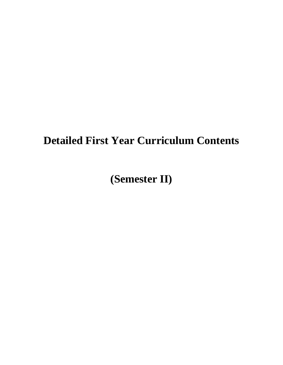# **Detailed First Year Curriculum Contents**

**(Semester II)**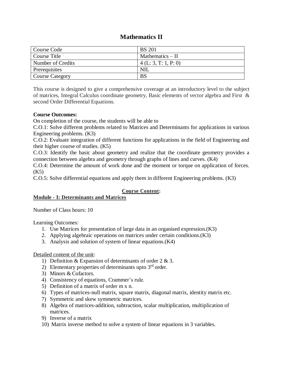# **Mathematics II**

| Course Code            | <b>BS</b> 201       |
|------------------------|---------------------|
| Course Title           | Mathematics $-$ II  |
| Number of Credits      | 4(L: 3, T: 1, P: 0) |
| Prerequisites          | <b>NIL</b>          |
| <b>Course Category</b> | <b>BS</b>           |

This course is designed to give a comprehensive coverage at an introductory level to the subject of matrices, Integral Calculus coordinate geometry, Basic elements of vector algebra and First & second Order Differential Equations.

### **Course Outcomes:**

On completion of the course, the students will be able to

C.O.1: Solve different problems related to Matrices and Determinants for applications in various Engineering problems. (K3)

C.O.2: Evaluate integration of different functions for applications in the field of Engineering and their higher course of studies. (K5)

C.O.3: Identify the basic about geometry and realize that the coordinate geometry provides a connection between algebra and geometry through graphs of lines and curves. (K4)

C.O.4: Determine the amount of work done and the moment or torque on application of forces. (K5)

C.O.5: Solve differential equations and apply them in different Engineering problems. (K3)

# **Course Content:**

# **Module - I: Determinants and Matrices**

Number of Class hours: 10

Learning Outcomes:

- 1. Use Matrices for presentation of large data in an organised expression.(K3)
- 2. Applying algebraic operations on matrices under certain conditions.(K3)
- 3. Analysis and solution of system of linear equations.(K4)

# Detailed content of the unit:

- 1) Definition & Expansion of determinants of order 2 & 3.
- 2) Elementary properties of determinants upto  $3<sup>rd</sup>$  order.
- 3) Minors & Cofactors.
- 4) Consistency of equations, Crammer's rule.
- 5) Definition of a matrix of order m x n.
- 6) Types of matrices-null matrix, square matrix, diagonal matrix, identity matrix etc.
- 7) Symmetric and skew symmetric matrices.
- 8) Algebra of matrices-addition, subtraction, scalar multiplication, multiplication of matrices.
- 9) Inverse of a matrix
- 10) Matrix inverse method to solve a system of linear equations in 3 variables.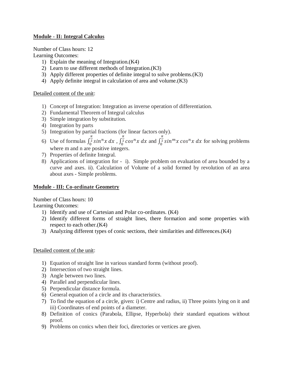# **Module - II: Integral Calculus**

Number of Class hours: 12

Learning Outcomes:

- 1) Explain the meaning of Integration.(K4)
- 2) Learn to use different methods of Integration.(K3)
- 3) Apply different properties of definite integral to solve problems.(K3)
- 4) Apply definite integral in calculation of area and volume.(K3)

# Detailed content of the unit:

- 1) Concept of Integration: Integration as inverse operation of differentiation.
- 2) Fundamental Theorem of Integral calculus
- 3) Simple integration by substitution.
- 4) Integration by parts
- 5) Integration by partial fractions (for linear factors only).
- 6) Use of formulas  $\int_0^{\frac{\pi}{2}} \sin^n x \, dx$  $\int_0^{\frac{\pi}{2}} \sin^n x \, dx$  ,  $\int_0^{\frac{\pi}{2}} \cos^n x \, dx$  $\int_0^{\frac{\pi}{2}} \cos^n x \ dx$  and  $\int_0^{\frac{\pi}{2}} \sin^m x \cos^n x \ dx$  $\int_{0}^{\overline{2}} \sin^{m} x \cos^{n} x \, dx$  for solving problems where m and n are positive integers.
- 7) Properties of definite Integral.
- 8) Applications of integration for i). Simple problem on evaluation of area bounded by a curve and axes. ii). Calculation of Volume of a solid formed by revolution of an area about axes - Simple problems.

# **Module - III: Co-ordinate Geometry**

Number of Class hours: 10

Learning Outcomes:

- 1) Identify and use of Cartesian and Polar co-ordinates. (K4)
- 2) Identify different forms of straight lines, there formation and some properties with respect to each other.(K4)
- 3) Analyzing different types of conic sections, their similarities and differences.(K4)

# Detailed content of the unit:

- 1) Equation of straight line in various standard forms (without proof).
- 2) Intersection of two straight lines.
- 3) Angle between two lines.
- 4) Parallel and perpendicular lines.
- 5) Perpendicular distance formula.
- 6) General equation of a circle and its characteristics.
- 7) To find the equation of a circle, given: i) Centre and radius, ii) Three points lying on it and iii) Coordinates of end points of a diameter.
- 8) Definition of conics (Parabola, Ellipse, Hyperbola) their standard equations without proof.
- 9) Problems on conics when their foci, directories or vertices are given.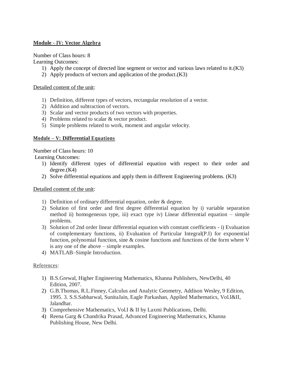# **Module - IV: Vector Algebra**

Number of Class hours: 8

Learning Outcomes:

- 1) Apply the concept of directed line segment or vector and various laws related to it.(K3)
- 2) Apply products of vectors and application of the product.(K3)

# Detailed content of the unit:

- 1) Definition, different types of vectors, rectangular resolution of a vector.
- 2) Addition and subtraction of vectors.
- 3) Scalar and vector products of two vectors with properties.
- 4) Problems related to scalar & vector product.
- 5) Simple problems related to work, moment and angular velocity.

# **Module – V: Differential Equations**

Number of Class hours: 10

Learning Outcomes:

- 1) Identify different types of differential equation with respect to their order and degree.(K4)
- 2) Solve differential equations and apply them in different Engineering problems. (K3)

Detailed content of the unit:

- 1) Definition of ordinary differential equation, order & degree.
- 2) Solution of first order and first degree differential equation by i) variable separation method ii) homogeneous type, iii) exact type iv) Linear differential equation – simple problems.
- 3) Solution of 2nd order linear differential equation with constant coefficients i) Evaluation of complementary functions, ii) Evaluation of Particular Integral(P.I) for exponential function, polynomial function, sine & cosine functions and functions of the form where V is any one of the above – simple examples.
- 4) MATLAB–Simple Introduction.

# References:

- 1) B.S.Grewal, Higher Engineering Mathematics, Khanna Publishers, NewDelhi, 40 Edition, 2007.
- 2) G.B.Thomas, R.L.Finney, Calculus and Analytic Geometry, Addison Wesley, 9 Edition, 1995. 3. S.S.Sabharwal, SunitaJain, Eagle Parkashan, Applied Mathematics, Vol.I&II, Jalandhar.
- 3) Comprehensive Mathematics, Vol.I & II by Laxmi Publications, Delhi.
- 4) Reena Garg & Chandrika Prasad, Advanced Engineering Mathematics, Khanna Publishing House, New Delhi.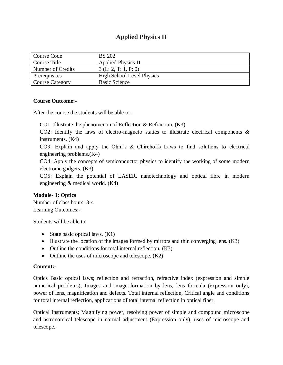# **Applied Physics II**

| Course Code            | <b>BS</b> 202                    |
|------------------------|----------------------------------|
| Course Title           | <b>Applied Physics-II</b>        |
| Number of Credits      | 3(L: 2, T: 1, P: 0)              |
| Prerequisites          | <b>High School Level Physics</b> |
| <b>Course Category</b> | <b>Basic Science</b>             |

### **Course Outcome:-**

After the course the students will be able to-

CO1: Illustrate the phenomenon of Reflection & Refraction. (K3)

CO2: Identify the laws of electro-magneto statics to illustrate electrical components  $\&$ instruments. (K4)

CO3: Explain and apply the Ohm's & Chirchoffs Laws to find solutions to electrical engineering problems.(K4)

CO4: Apply the concepts of semiconductor physics to identify the working of some modern electronic gadgets. (K3)

CO5: Explain the potential of LASER, nanotechnology and optical fibre in modern engineering & medical world. (K4)

# **Module- 1: Optics**

Number of class hours: 3-4 Learning Outcomes:-

Students will be able to

- State basic optical laws.  $(K1)$
- Illustrate the location of the images formed by mirrors and thin converging lens. (K3)
- Outline the conditions for total internal reflection. (K3)
- Outline the uses of microscope and telescope. (K2)

# **Content:-**

Optics Basic optical laws; reflection and refraction, refractive index (expression and simple numerical problems), Images and image formation by lens, lens formula (expression only), power of lens, magnification and defects. Total internal reflection, Critical angle and conditions for total internal reflection, applications of total internal reflection in optical fiber.

Optical Instruments; Magnifying power, resolving power of simple and compound microscope and astronomical telescope in normal adjustment (Expression only), uses of microscope and telescope.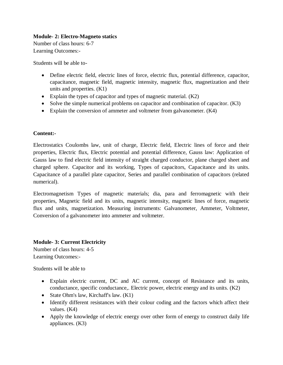# **Module- 2: Electro-Magneto statics**

Number of class hours: 6-7 Learning Outcomes:-

Students will be able to-

- Define electric field, electric lines of force, electric flux, potential difference, capacitor, capacitance, magnetic field, magnetic intensity, magnetic flux, magnetization and their units and properties. (K1)
- Explain the types of capacitor and types of magnetic material. (K2)
- Solve the simple numerical problems on capacitor and combination of capacitor. (K3)
- Explain the conversion of ammeter and voltmeter from galvanometer. (K4)

# **Content:-**

Electrostatics Coulombs law, unit of charge, Electric field, Electric lines of force and their properties, Electric flux, Electric potential and potential difference, Gauss law: Application of Gauss law to find electric field intensity of straight charged conductor, plane charged sheet and charged sphere. Capacitor and its working, Types of capacitors, Capacitance and its units. Capacitance of a parallel plate capacitor, Series and parallel combination of capacitors (related numerical).

Electromagnetism Types of magnetic materials; dia, para and ferromagnetic with their properties, Magnetic field and its units, magnetic intensity, magnetic lines of force, magnetic flux and units, magnetization. Measuring instruments: Galvanometer, Ammeter, Voltmeter, Conversion of a galvanometer into ammeter and voltmeter.

# **Module- 3: Current Electricity**

Number of class hours: 4-5 Learning Outcomes:-

Students will be able to

- Explain electric current, DC and AC current, concept of Resistance and its units, conductance, specific conductance,. Electric power, electric energy and its units. (K2)
- State Ohm's law, Kirchaff's law. (K1)
- Identify different resistances with their colour coding and the factors which affect their values. (K4)
- Apply the knowledge of electric energy over other form of energy to construct daily life appliances. (K3)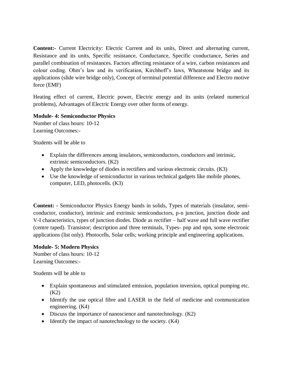**Content:-** Current Electricity: Electric Current and its units, Direct and alternating current, Resistance and its units, Specific resistance, Conductance, Specific conductance, Series and parallel combination of resistances. Factors affecting resistance of a wire, carbon resistances and colour coding. Ohm's law and its verification, Kirchhoff's laws, Wheatstone bridge and its applications (slide wire bridge only), Concept of terminal potential difference and Electro motive force (EMF)

Heating effect of current, Electric power, Electric energy and its units (related numerical problems), Advantages of Electric Energy over other forms of energy.

### **Module- 4: Semiconductor Physics**

Number of class hours: 10-12 Learning Outcomes:-

Students will be able to

- Explain the differences among insulators, semiconductors, conductors and intrinsic, extrinsic semiconductors. (K2)
- Apply the knowledge of diodes in rectifiers and various electronic circuits. (K3)
- Use the knowledge of semiconductor in various technical gadgets like mobile phones, computer, LED, photocells. (K3)

**Content: -** Semiconductor Physics Energy bands in solids, Types of materials (insulator, semiconductor, conductor), intrinsic and extrinsic semiconductors, p-n junction, junction diode and V-I characteristics, types of junction diodes. Diode as rectifier – half wave and full wave rectifier (centre taped). Transistor; description and three terminals, Types- pnp and npn, some electronic applications (list only). Photocells, Solar cells; working principle and engineering applications.

# **Module- 5: Modern Physics**

Number of class hours: 10-12 Learning Outcomes:-

Students will be able to

- Explain spontaneous and stimulated emission, population inversion, optical pumping etc. (K2)
- Identify the use optical fibre and LASER in the field of medicine and communication engineering. (K4)
- Discuss the importance of nanoscience and nanotechnology. (K2)
- Identify the impact of nanotechnology to the society. (K4)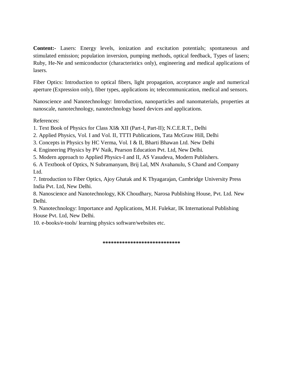**Content:-** Lasers: Energy levels, ionization and excitation potentials; spontaneous and stimulated emission; population inversion, pumping methods, optical feedback, Types of lasers; Ruby, He-Ne and semiconductor (characteristics only), engineering and medical applications of lasers.

Fiber Optics: Introduction to optical fibers, light propagation, acceptance angle and numerical aperture (Expression only), fiber types, applications in; telecommunication, medical and sensors.

Nanoscience and Nanotechnology: Introduction, nanoparticles and nanomaterials, properties at nanoscale, nanotechnology, nanotechnology based devices and applications.

References:

- 1. Text Book of Physics for Class XI& XII (Part-I, Part-II); N.C.E.R.T., Delhi
- 2. Applied Physics, Vol. I and Vol. II, TTTI Publications, Tata McGraw Hill, Delhi
- 3. Concepts in Physics by HC Verma, Vol. I & II, Bharti Bhawan Ltd. New Delhi
- 4. Engineering Physics by PV Naik, Pearson Education Pvt. Ltd, New Delhi.
- 5. Modern approach to Applied Physics-I and II, AS Vasudeva, Modern Publishers.

6. A Textbook of Optics, N Subramanyam, Brij Lal, MN Avahanulu, S Chand and Company Ltd.

7. Introduction to Fiber Optics, Ajoy Ghatak and K Thyagarajan, Cambridge University Press India Pvt. Ltd, New Delhi.

8. Nanoscience and Nanotechnology, KK Choudhary, Narosa Publishing House, Pvt. Ltd. New Delhi.

9. Nanotechnology: Importance and Applications, M.H. Fulekar, IK International Publishing House Pvt. Ltd, New Delhi.

10. e-books/e-tools/ learning physics software/websites etc.

**\*\*\*\*\*\*\*\*\*\*\*\*\*\*\*\*\*\*\*\*\*\*\*\*\*\*\*\***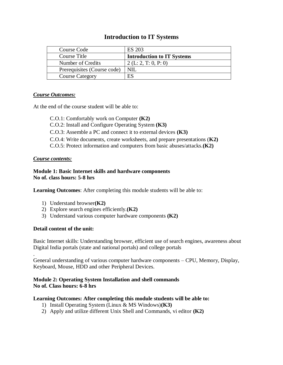# **Introduction to IT Systems**

| Course Code                 | <b>ES 203</b>                     |
|-----------------------------|-----------------------------------|
| Course Title                | <b>Introduction to IT Systems</b> |
| Number of Credits           | 2(L: 2, T: 0, P: 0)               |
| Prerequisites (Course code) | NIL.                              |
| <b>Course Category</b>      | ES                                |

### *Course Outcomes:*

At the end of the course student will be able to:

C.O.1: Comfortably work on Computer **(K2)** C.O.2: Install and Configure Operating System **(K3)** C.O.3: Assemble a PC and connect it to external devices **(K3)** C.O.4: Write documents, create worksheets, and prepare presentations (**K2)** C.O.5: Protect information and computers from basic abuses/attacks.**(K2)**

# *Course contents:*

# **Module 1: Basic Internet skills and hardware components No of. class hours: 5-8 hrs**

**Learning Outcomes**: After completing this module students will be able to:

- 1) Understand browser**(K2)**
- 2) Explore search engines efficiently.**(K2)**
- 3) Understand various computer hardware components **(K2)**

# **Detail content of the unit:**

Basic Internet skills: Understanding browser, efficient use of search engines, awareness about Digital India portals (state and national portals) and college portals

. General understanding of various computer hardware components – CPU, Memory, Display, Keyboard, Mouse, HDD and other Peripheral Devices.

# **Module 2: Operating System Installation and shell commands No of. Class hours: 6-8 hrs**

# **Learning Outcomes: After completing this module students will be able to:**

- 1) Install Operating System (Linux & MS Windows)**(K3)**
- 2) Apply and utilize different Unix Shell and Commands, vi editor **(K2)**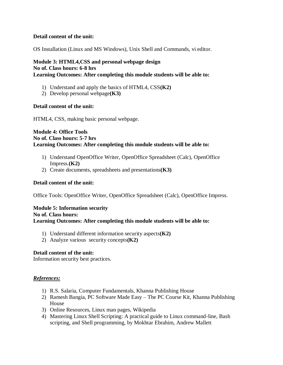### **Detail content of the unit:**

OS Installation (Linux and MS Windows), Unix Shell and Commands, vi editor.

## **Module 3: HTML4,CSS and personal webpage design No of. Class hours: 6-8 hrs Learning Outcomes: After completing this module students will be able to:**

- 1) Understand and apply the basics of HTML4, CSS**(K2)**
- 2) Develop personal webpage**(K3)**

#### **Detail content of the unit:**

HTML4, CSS, making basic personal webpage.

#### **Module 4: Office Tools No of. Class hours: 5-7 hrs Learning Outcomes: After completing this module students will be able to:**

- 1) Understand OpenOffice Writer, OpenOffice Spreadsheet (Calc), OpenOffice Impress.**(K2)**
- 2) Create documents, spreadsheets and presentations**(K3)**

#### **Detail content of the unit:**

Office Tools: OpenOffice Writer, OpenOffice Spreadsheet (Calc), OpenOffice Impress.

#### **Module 5: Information security**

#### **No of. Class hours:**

**Learning Outcomes: After completing this module students will be able to:**

- 1) Understand different information security aspects**(K2)**
- 2) Analyze various security concepts**(K2)**

#### **Detail content of the unit:**

Information security best practices.

#### *References:*

- 1) R.S. Salaria, Computer Fundamentals, Khanna Publishing House
- 2) Ramesh Bangia, PC Software Made Easy The PC Course Kit, Khanna Publishing House
- 3) Online Resources, Linux man pages, Wikipedia
- 4) Mastering Linux Shell Scripting: A practical guide to Linux command-line, Bash scripting, and Shell programming, by Mokhtar Ebrahim, Andrew Mallett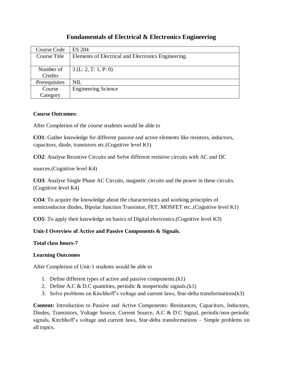# **Fundamentals of Electrical & Electronics Engineering**

| Course Code   | <b>ES 204</b>                                       |
|---------------|-----------------------------------------------------|
| Course Title  | Elements of Electrical and Electronics Engineering. |
|               |                                                     |
| Number of     | $3$ (L: 2, T: 1, P: 0)                              |
| Credits       |                                                     |
| Prerequisites | NIL                                                 |
| Course        | <b>Engineering Science</b>                          |
| Category      |                                                     |

# **Course Outcomes:**

After Completion of the course students would be able to

**CO1**: Gather knowledge for different passive and active elements like resistors, inductors, capacitors, diode, transistors etc.(Cognitive level K1)

**CO2**: Analyse Resistive Circuits and Solve different resistive circuits with AC and DC

sources.(Cognitive level K4)

**CO3**: Analyse Single Phase AC Circuits, magnetic circuits and the power in these circuits. (Cognitive level K4)

**CO4**: To acquire the knowledge about the characteristics and working principles of semiconductor diodes, Bipolar Junction Transistor, FET, MOSFET etc..(Cognitive level K1)

**CO5**: To apply their knowledge on basics of Digital electronics.(Cognitive level K3)

# **Unit-I Overview of Active and Passive Components & Signals.**

**Total class hours-7**

# **Learning Outcomes**

After Completion of Unit-1 students would be able to

- 1. Define different types of active and passive components.(k1)
- 2. Define A.C & D.C quantities, periodic & nonperiodic signals. $(k1)$
- 3. Solve problems on Kirchhoff's voltage and current laws, Star-delta transformations(k3)

**Content:** Introduction to Passive and Active Components: Resistances, Capacitors, Inductors, Diodes, Transistors, Voltage Source, Current Source, A.C & D.C Signal, periodic/non-periodic signals, Kirchhoff's voltage and current laws, Star-delta transformations – Simple problems on all topics.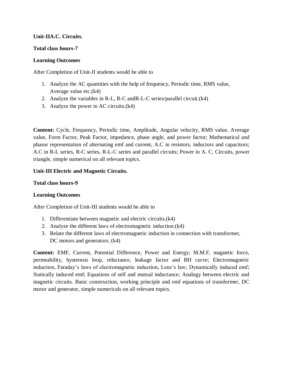## **Unit-IIA.C. Circuits.**

#### **Total class hours-7**

### **Learning Outcomes**

After Completion of Unit-II students would be able to

- 1. Analyze the AC quantities with the help of frequency, Periodic time, RMS value, Average value etc.(k4)
- 2. Analyze the variables in R-L, R-C andR-L-C series/parallel circuit.(k4)
- 3. Analyze the power in AC circuits.(k4)

**Content:** Cycle, Frequency, Periodic time, Amplitude, Angular velocity, RMS value, Average value, Form Factor, Peak Factor, impedance, phase angle, and power factor; Mathematical and phasor representation of alternating emf and current, A.C in resistors, inductors and capacitors; A.C in R-L series, R-C series, R-L-C series and parallel circuits; Power in A. C. Circuits, power triangle, simple numerical on all relevant topics.

### **Unit-III Electric and Magnetic Circuits.**

#### **Total class hours-9**

# **Learning Outcomes**

After Completion of Unit-III students would be able to

- 1. Differentiate between magnetic and electric circuits.(k4)
- 2. Analyze the different laws of electromagnetic induction.(k4)
- 3. Relate the different laws of electromagnetic induction in connection with transformer, DC motors and generators.  $(k4)$

**Content:** EMF, Current, Potential Difference, Power and Energy; M.M.F, magnetic force, permeability, hysteresis loop, reluctance, leakage factor and BH curve; Electromagnetic induction, Faraday's laws of electromagnetic induction, Lenz's law; Dynamically induced emf; Statically induced emf; Equations of self and mutual inductance; Analogy between electric and magnetic circuits. Basic construction, working principle and emf equations of transformer, DC motor and generator, simple numericals on all relevant topics.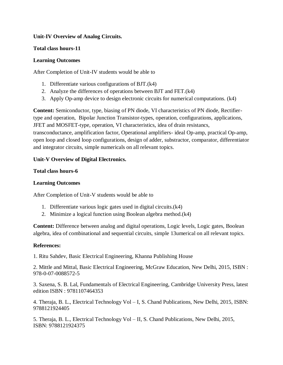# **Unit-IV Overview of Analog Circuits.**

# **Total class hours-11**

# **Learning Outcomes**

After Completion of Unit-IV students would be able to

- 1. Differentiate various configurations of BJT.(k4)
- 2. Analyze the differences of operations between BJT and FET.(k4)
- 3. Apply Op-amp device to design electronic circuits for numerical computations. (k4)

**Content:** Semiconductor, type, biasing of PN diode, VI characteristics of PN diode, Rectifiertype and operation, Bipolar Junction Transistor-types, operation, configurations, applications, JFET and MOSFET-type, operation, VI characteristics, idea of drain resistancs, transconductance, amplification factor, Operational amplifiers- ideal Op-amp, practical Op-amp, open loop and closed loop configurations, design of adder, substractor, comparator, differentiator and integrator circuits, simple numericals on all relevant topics.

# **Unit-V Overview of Digital Electronics.**

# **Total class hours-6**

# **Learning Outcomes**

After Completion of Unit-V students would be able to

- 1. Differentiate various logic gates used in digital circuits.(k4)
- 2. Minimize a logical function using Boolean algebra method.(k4)

**Content:** Difference between analog and digital operations, Logic levels, Logic gates, Boolean algebra, idea of combinational and sequential circuits, simple 13umerical on all relevant topics.

# **References:**

1. Ritu Sahdev, Basic Electrical Engineering, Khanna Publishing House

2. Mittle and Mittal, Basic Electrical Engineering, McGraw Education, New Delhi, 2015, ISBN : 978-0-07-0088572-5

3. Saxena, S. B. Lal, Fundamentals of Electrical Engineering, Cambridge University Press, latest edition ISBN : 9781107464353

4. Theraja, B. L., Electrical Technology Vol – I, S. Chand Publications, New Delhi, 2015, ISBN: 9788121924405

5. Theraja, B. L., Electrical Technology Vol – II, S. Chand Publications, New Delhi, 2015, ISBN: 9788121924375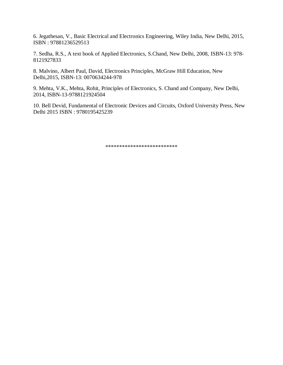6. Jegathesan, V., Basic Electrical and Electronics Engineering, Wiley India, New Delhi, 2015, ISBN : 97881236529513

7. Sedha, R.S., A text book of Applied Electronics, S.Chand, New Delhi, 2008, ISBN-13: 978- 8121927833

8. Malvino, Albert Paul, David, Electronics Principles, McGraw Hill Education, New Delhi,2015, ISBN-13: 0070634244-978

9. Mehta, V.K., Mehta, Rohit, Principles of Electronics, S. Chand and Company, New Delhi, 2014, ISBN-13-9788121924504

10. Bell Devid, Fundamental of Electronic Devices and Circuits, Oxford University Press, New Delhi 2015 ISBN : 9780195425239

\*\*\*\*\*\*\*\*\*\*\*\*\*\*\*\*\*\*\*\*\*\*\*\*\*\*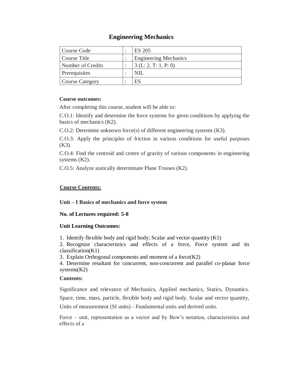# **Engineering Mechanics**

| Course Code            | <b>ES 205</b>                |
|------------------------|------------------------------|
| Course Title           | <b>Engineering Mechanics</b> |
| Number of Credits      | 3(L: 2, T: 1, P: 0)          |
| <b>Prerequisites</b>   | NIL                          |
| <b>Course Category</b> | ES                           |

### **Course outcomes:**

After completing this course, student will be able to:

C.O.1: Identify and determine the force systems for given conditions by applying the basics of mechanics (K2).

C.O.2: Determine unknown force(s) of different engineering systems (K3).

C.O.3: Apply the principles of friction in various conditions for useful purposes  $(K3)$ .

C.O.4: Find the centroid and centre of gravity of various components in engineering systems (K2).

C.O.5: Analyze statically determinate Plane Trusses (K2).

# **Course Contents:**

# **Unit – I Basics of mechanics and force system**

# **No. of Lectures required: 5-8**

# **Unit Learning Outcomes:**

1. Identify flexible body and rigid body; Scalar and vector quantity (K1)

2. Recognize characteristics and effects of a force, Force system and its classification(K1)

3. Explain Orthogonal components and moment of a force(K2)

4. Determine resultant for concurrent, non-concurrent and parallel co-planar force systems(K2)

# **Contents:**

Significance and relevance of Mechanics, Applied mechanics, Statics, Dynamics. Space, time, mass, particle, flexible body and rigid body. Scalar and vector quantity, Units of measurement (SI units) - Fundamental units and derived units.

Force – unit, representation as a vector and by Bow's notation, characteristics and effects of a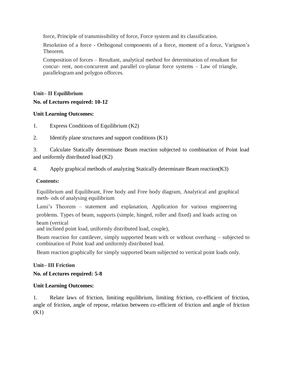force, Principle of transmissibility of force, Force system and its classification.

Resolution of a force - Orthogonal components of a force, moment of a force, Varignon's Theorem.

Composition of forces – Resultant, analytical method for determination of resultant for concur- rent, non-concurrent and parallel co-planar force systems – Law of triangle, parallelogram and polygon offorces.

# **Unit– II Equilibrium No. of Lectures required: 10-12**

# **Unit Learning Outcomes:**

- 1. Express Conditions of Equilibrium (K2)
- 2. Identify plane structures and support conditions (K1)

3. Calculate Statically determinate Beam reaction subjected to combination of Point load and uniformly distributed load (K2)

4. Apply graphical methods of analyzing Statically determinate Beam reaction(K3)

# **Contents:**

Equilibrium and Equilibrant, Free body and Free body diagram, Analytical and graphical meth- ods of analysing equilibrium

Lami's Theorem – statement and explanation, Application for various engineering problems. Types of beam, supports (simple, hinged, roller and fixed) and loads acting on beam (vertical

and inclined point load, uniformly distributed load, couple),

Beam reaction for cantilever, simply supported beam with or without overhang – subjected to combination of Point load and uniformly distributed load.

Beam reaction graphically for simply supported beam subjected to vertical point loads only.

# **Unit– III Friction**

# **No. of Lectures required: 5-8**

# **Unit Learning Outcomes:**

1. Relate laws of friction, limiting equilibrium, limiting friction, co-efficient of friction, angle of friction, angle of repose, relation between co-efficient of friction and angle of friction (K1)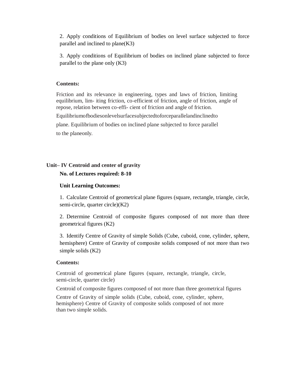2. Apply conditions of Equilibrium of bodies on level surface subjected to force parallel and inclined to plane(K3)

3. Apply conditions of Equilibrium of bodies on inclined plane subjected to force parallel to the plane only (K3)

#### **Contents:**

Friction and its relevance in engineering, types and laws of friction, limiting equilibrium, lim- iting friction, co-efficient of friction, angle of friction, angle of repose, relation between co-effi- cient of friction and angle of friction.

Equilibriumofbodiesonlevelsurfacesubjectedtoforceparallelandinclinedto

plane. Equilibrium of bodies on inclined plane subjected to force parallel to the planeonly.

# **Unit– IV Centroid and center of gravity**

# **No. of Lectures required: 8-10**

#### **Unit Learning Outcomes:**

1. Calculate Centroid of geometrical plane figures (square, rectangle, triangle, circle, semi-circle, quarter circle)(K2)

2. Determine Centroid of composite figures composed of not more than three geometrical figures (K2)

3. Identify Centre of Gravity of simple Solids (Cube, cuboid, cone, cylinder, sphere, hemisphere) Centre of Gravity of composite solids composed of not more than two simple solids (K2)

#### **Contents:**

Centroid of geometrical plane figures (square, rectangle, triangle, circle, semi-circle, quarter circle)

Centroid of composite figures composed of not more than three geometrical figures

Centre of Gravity of simple solids (Cube, cuboid, cone, cylinder, sphere, hemisphere) Centre of Gravity of composite solids composed of not more than two simple solids.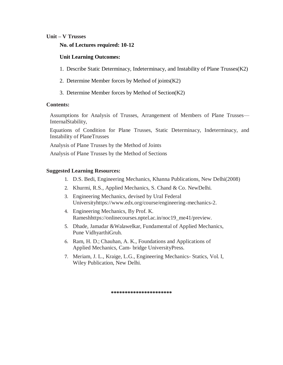#### **Unit – V Trusses**

#### **No. of Lectures required: 10-12**

#### **Unit Learning Outcomes:**

- 1. Describe Static Determinacy, Indeterminacy, and Instability of Plane Trusses(K2)
- 2. Determine Member forces by Method of joints(K2)
- 3. Determine Member forces by Method of Section(K2)

#### **Contents:**

Assumptions for Analysis of Trusses, Arrangement of Members of Plane Trusses— InternalStability,

Equations of Condition for Plane Trusses, Static Determinacy, Indeterminacy, and Instability of PlaneTrusses

Analysis of Plane Trusses by the Method of Joints

Analysis of Plane Trusses by the Method of Sections

#### **Suggested Learning Resources:**

- 1. D.S. Bedi, Engineering Mechanics, Khanna Publications, New Delhi(2008)
- 2. Khurmi, R.S., Applied Mechanics, S. Chand & Co. NewDelhi.
- 3. Engineering Mechanics, devised by Ural Federal Universityhttps://www.edx.org/course/engineering-mechanics-2.
- 4. Engineering Mechanics, By Prof. K. Rameshhttps://onlinecourses.nptel.ac.in/noc19\_me41/preview.
- 5. Dhade, Jamadar &Walawelkar, Fundamental of Applied Mechanics, Pune VidhyarthiGruh.
- 6. Ram, H. D.; Chauhan, A. K., Foundations and Applications of Applied Mechanics, Cam- bridge UniversityPress.
- 7. Meriam, J. L., Kraige, L.G., Engineering Mechanics- Statics, Vol. I, Wiley Publication, New Delhi.

**\*\*\*\*\*\*\*\*\*\*\*\*\*\*\*\*\*\*\*\*\*\***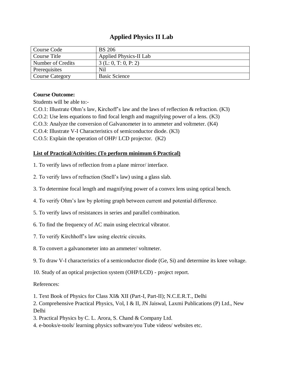# **Applied Physics II Lab**

| Course Code            | <b>BS</b> 206          |
|------------------------|------------------------|
| Course Title           | Applied Physics-II Lab |
| Number of Credits      | 3(L: 0, T: 0, P: 2)    |
| Prerequisites          | Nil                    |
| <b>Course Category</b> | <b>Basic Science</b>   |

# **Course Outcome:**

Students will be able to:-

C.O.1: Illustrate Ohm's law, Kirchoff's law and the laws of reflection & refraction. (K3)

C.O.2: Use lens equations to find focal length and magnifying power of a lens. (K3)

C.O.3: Analyze the conversion of Galvanometer in to ammeter and voltmeter. (K4)

C.O.4: Illustrate V-I Characteristics of semiconductor diode. (K3)

C.O.5: Explain the operation of OHP/ LCD projector. (K2)

# **List of Practical/Activities: (To perform minimum 6 Practical)**

- 1. To verify laws of reflection from a plane mirror/ interface.
- 2. To verify laws of refraction (Snell's law) using a glass slab.
- 3. To determine focal length and magnifying power of a convex lens using optical bench.
- 4. To verify Ohm's law by plotting graph between current and potential difference.
- 5. To verify laws of resistances in series and parallel combination.
- 6. To find the frequency of AC main using electrical vibrator.
- 7. To verify Kirchhoff's law using electric circuits.
- 8. To convert a galvanometer into an ammeter/ voltmeter.
- 9. To draw V-I characteristics of a semiconductor diode (Ge, Si) and determine its knee voltage.
- 10. Study of an optical projection system (OHP/LCD) project report.

# References:

- 1. Text Book of Physics for Class XI& XII (Part-I, Part-II); N.C.E.R.T., Delhi
- 2. Comprehensive Practical Physics, Vol, I & II, JN Jaiswal, Laxmi Publications (P) Ltd., New Delhi
- 3. Practical Physics by C. L. Arora, S. Chand & Company Ltd.
- 4. e-books/e-tools/ learning physics software/you Tube videos/ websites etc.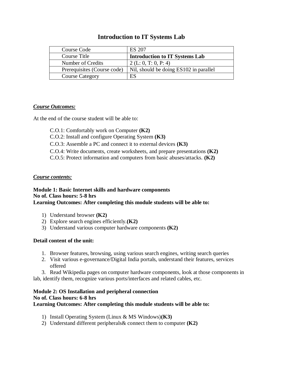| Course Code                 | ES 207                                 |
|-----------------------------|----------------------------------------|
| Course Title                | <b>Introduction to IT Systems Lab</b>  |
| Number of Credits           | 2 (L: 0, T: 0, P: 4)                   |
| Prerequisites (Course code) | Nil, should be doing ES102 in parallel |
| <b>Course Category</b>      | ES                                     |

# **Introduction to IT Systems Lab**

### *Course Outcomes:*

At the end of the course student will be able to:

- C.O.1: Comfortably work on Computer **(K2)**
- C.O.2: Install and configure Operating System **(K3)**
- C.O.3: Assemble a PC and connect it to external devices **(K3)**
- C.O.4: Write documents, create worksheets, and prepare presentations **(K2)**
- C.O.5: Protect information and computers from basic abuses/attacks. **(K2)**

#### *Course contents:*

# **Module 1: Basic Internet skills and hardware components No of. Class hours: 5-8 hrs**

#### **Learning Outcomes: After completing this module students will be able to:**

- 1) Understand browser **(K2)**
- 2) Explore search engines efficiently.**(K2)**
- 3) Understand various computer hardware components **(K2)**

#### **Detail content of the unit:**

- 1. Browser features, browsing, using various search engines, writing search queries
- 2. Visit various e-governance/Digital India portals, understand their features, services offered
- 3. Read Wikipedia pages on computer hardware components, look at those components in lab, identify them, recognize various ports/interfaces and related cables, etc.

#### **Module 2: OS Installation and peripheral connection No of. Class hours: 6-8 hrs Learning Outcomes: After completing this module students will be able to:**

- 1) Install Operating System (Linux & MS Windows)**(K3)**
- 2) Understand different peripherals& connect them to computer **(K2)**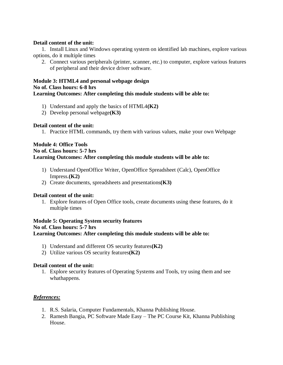#### **Detail content of the unit:**

1. Install Linux and Windows operating system on identified lab machines, explore various options, do it multiple times

2. Connect various peripherals (printer, scanner, etc.) to computer, explore various features of peripheral and their device driver software.

#### **Module 3: HTML4 and personal webpage design No of. Class hours: 6-8 hrs Learning Outcomes: After completing this module students will be able to:**

- 1) Understand and apply the basics of HTML4**(K2)**
- 2) Develop personal webpage**(K3)**

#### **Detail content of the unit:**

1. Practice HTML commands, try them with various values, make your own Webpage

#### **Module 4: Office Tools No of. Class hours: 5-7 hrs Learning Outcomes: After completing this module students will be able to:**

- 1) Understand OpenOffice Writer, OpenOffice Spreadsheet (Calc), OpenOffice Impress.**(K2)**
- 2) Create documents, spreadsheets and presentations**(K3)**

#### **Detail content of the unit:**

1. Explore features of Open Office tools, create documents using these features, do it multiple times

#### **Module 5: Operating System security features No of. Class hours: 5-7 hrs Learning Outcomes: After completing this module students will be able to:**

- 1) Understand and different OS security features**(K2)**
- 2) Utilize various OS security features**(K2)**

#### **Detail content of the unit:**

1. Explore security features of Operating Systems and Tools, try using them and see whathappens.

#### *References:*

- 1. R.S. Salaria, Computer Fundamentals, Khanna Publishing House.
- 2. Ramesh Bangia, PC Software Made Easy The PC Course Kit, Khanna Publishing House.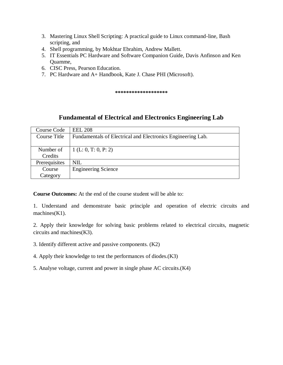- 3. Mastering Linux Shell Scripting: A practical guide to Linux command-line, Bash scripting, and
- 4. Shell programming, by Mokhtar Ebrahim, Andrew Mallett.
- 5. IT Essentials PC Hardware and Software Companion Guide, Davis Anfinson and Ken Quamme,
- 6. CISC Press, Pearson Education.
- 7. PC Hardware and A+ Handbook, Kate J. Chase PHI (Microsoft).

**\*\*\*\*\*\*\*\*\*\*\*\*\*\*\*\*\*\*\***

# **Fundamental of Electrical and Electronics Engineering Lab**

| Course Code   | <b>EEL 208</b>                                              |
|---------------|-------------------------------------------------------------|
| Course Title  | Fundamentals of Electrical and Electronics Engineering Lab. |
|               |                                                             |
| Number of     | 1 (L: 0, T: 0, P: 2)                                        |
| Credits       |                                                             |
| Prerequisites | <b>NIL</b>                                                  |
| Course        | <b>Engineering Science</b>                                  |
| Category      |                                                             |

**Course Outcomes:** At the end of the course student will be able to:

1. Understand and demonstrate basic principle and operation of electric circuits and machines(K1).

2. Apply their knowledge for solving basic problems related to electrical circuits, magnetic circuits and machines(K3).

- 3. Identify different active and passive components. (K2)
- 4. Apply their knowledge to test the performances of diodes.(K3)
- 5. Analyse voltage, current and power in single phase AC circuits.(K4)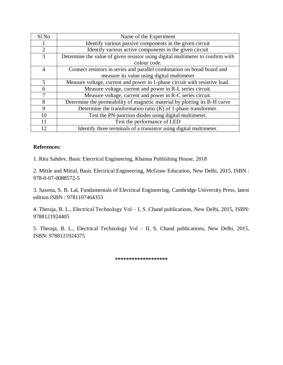| Sl <sub>No</sub> | Name of the Experiment                                                         |
|------------------|--------------------------------------------------------------------------------|
|                  | Identify various passive components in the given circuit                       |
| $\overline{2}$   | Identify various active components in the given circuit                        |
| 3                | Determine the value of given resistor using digital multimeter to confirm with |
|                  | colour code.                                                                   |
| $\overline{4}$   | Connect resistors in series and parallel combination on bread board and        |
|                  | measure its value using digital multimeter                                     |
| 5                | Measure voltage, current and power in 1-phase circuit with resistive load.     |
| 6                | Measure voltage, current and power in R-L series circuit.                      |
| 7                | Measure voltage, current and power in R-C series circuit.                      |
| 8                | Determine the permeability of magnetic material by plotting its B-H curve      |
| 9                | Determine the transformation ratio $(K)$ of 1-phase transformer.               |
| 10               | Test the PN-junction diodes using digital multimeter.                          |
| 11               | Test the performance of LED                                                    |
| 12               | Identify three terminals of a transistor using digital multimeter.             |

### **References:**

1. Ritu Sahdev, Basic Electrical Engineering, Khanna Publishing House, 2018

2. Mittle and Mittal, Basic Electrical Engineering, McGraw Education, New Delhi, 2015, ISBN : 978-0-07-0088572-5

3. Saxena, S. B. Lal, Fundamentals of Electrical Engineering, Cambridge University Press, latest edition ISBN : 9781107464353

4. Theraja, B. L., Electrical Technology Vol – I, S. Chand publications, New Delhi, 2015, ISBN: 9788121924405

5. Theraja, B. L., Electrical Technology Vol – II, S. Chand publications, New Delhi, 2015, ISBN: 9788121924375

**\*\*\*\*\*\*\*\*\*\*\*\*\*\*\*\*\*\*\***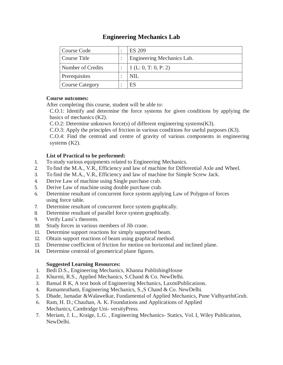# **Engineering Mechanics Lab**

| Course Code            | <b>ES 209</b>              |
|------------------------|----------------------------|
| Course Title           | Engineering Mechanics Lab. |
| Number of Credits      | (1(L: 0, T: 0, P: 2))      |
| Prerequisites          | NIL                        |
| <b>Course Category</b> | ES                         |

# **Course outcomes:**

After completing this course, student will be able to:

C.O.1: Identify and determine the force systems for given conditions by applying the basics of mechanics (K2).

C.O.2: Determine unknown force(s) of different engineering systems(K3).

C.O.3: Apply the principles of friction in various conditions for useful purposes (K3).

C.O.4: Find the centroid and centre of gravity of various components in engineering systems (K2).

# **List of Practical to be performed:**

- 1. To study various equipments related to Engineering Mechanics.
- 2. To find the M.A., V.R., Efficiency and law of machine for Differential Axle and Wheel.
- 3. To find the M.A., V.R., Efficiency and law of machine for Simple Screw Jack.
- 4. Derive Law of machine using Single purchase crab.
- 5. Derive Law of machine using double purchase crab.
- 6. Determine resultant of concurrent force system applying Law of Polygon of forces using force table.
- 7. Determine resultant of concurrent force system graphically.
- 8. Determine resultant of parallel force system graphically.
- 9. Verify Lami's theorem.
- 10. Study forces in various members of Jib crane.
- 11. Determine support reactions for simply supported beam.
- 12. Obtain support reactions of beam using graphical method.
- 13. Determine coefficient of friction for motion on horizontal and inclined plane.
- 14. Determine centroid of geometrical plane figures.

# **Suggested Learning Resources:**

- 1. Bedi D.S., Engineering Mechanics, Khanna PublishingHouse
- 2. Khurmi, R.S., Applied Mechanics, S.Chand & Co. NewDelhi.
- 3. Bansal R K, A text book of Engineering Mechanics, LaxmiPublications.
- 4. Ramamrutham, Engineering Mechanics, S.,S Chand & Co. NewDelhi.
- 5. Dhade, Jamadar &Walawelkar, Fundamental of Applied Mechanics, Pune VidhyarthiGruh.
- 6. Ram, H. D.; Chauhan, A. K. Foundations and Applications of Applied Mechanics, Cambridge Uni- versityPress.
- 7. Meriam, J. L., Kraige, L.G. , Engineering Mechanics- Statics, Vol. I, Wiley Publication, NewDelhi.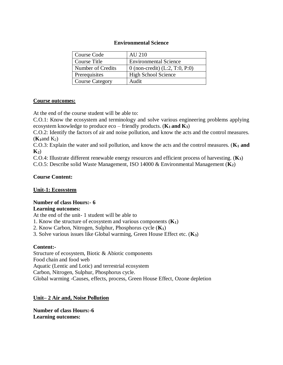#### **Environmental Science**

| Course Code            | <b>AU 210</b>                    |
|------------------------|----------------------------------|
| Course Title           | <b>Environmental Science</b>     |
| Number of Credits      | 0 (non-credit) $(L:2, T:0, P:0)$ |
| Prerequisites          | <b>High School Science</b>       |
| <b>Course Category</b> | Audit                            |

#### **Course outcomes:**

At the end of the course student will be able to:

C.O.1: Know the ecosystem and terminology and solve various engineering problems applying ecosystem knowledge to produce eco – friendly products.  $(K_1 \text{ and } K_3)$ 

C.O.2: Identify the factors of air and noise pollution, and know the acts and the control measures.  $(K_1$ and  $K_2)$ 

C.O.3: Explain the water and soil pollution, and know the acts and the control measures. (**K<sup>1</sup> and K2**)

C.O.4: Illustrate different renewable energy resources and efficient process of harvesting. (**K3**)

C.O.5: Describe solid Waste Management, ISO 14000 & Environmental Management (**K2**)

#### **Course Content:**

#### **Unit-1: Ecosystem**

#### **Number of class Hours:- 6 Learning outcomes:**

At the end of the unit- 1 student will be able to

- 1. Know the structure of ecosystem and various components (**K1**)
- 2. Know Carbon, Nitrogen, Sulphur, Phosphorus cycle (**K1**)
- 3. Solve various issues like Global warming, Green House Effect etc. (**K3**)

#### **Content:-**

Structure of ecosystem, Biotic & Abiotic components Food chain and food web Aquatic (Lentic and Lotic) and terrestrial ecosystem Carbon, Nitrogen, Sulphur, Phosphorus cycle. Global warming -Causes, effects, process, Green House Effect, Ozone depletion

#### **Unit– 2 Air and, Noise Pollution**

**Number of class Hours:-6 Learning outcomes:**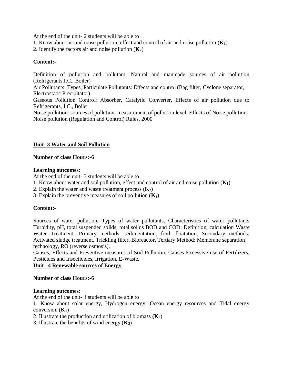At the end of the unit- 2 students will be able to

- 1. Know about air and noise pollution, effect and control of air and noise pollution (**K1**)
- 2. Identify the factors air and noise pollution  $(K_2)$

#### **Content:-**

Definition of pollution and pollutant, Natural and manmade sources of air pollution (Refrigerants,I.C., Boiler) Air Pollutants: Types, Particulate Pollutants: Effects and control (Bag filter, Cyclone separator, Electrostatic Precipitator) Gaseous Pollution Control: Absorber, Catalytic Converter, Effects of air pollution due to Refrigerants, I.C., Boiler Noise pollution: sources of pollution, measurement of pollution level, Effects of Noise pollution, Noise pollution (Regulation and Control) Rules, 2000

#### **Unit- 3 Water and Soil Pollution**

#### **Number of class Hours:-6**

#### **Learning outcomes:**

At the end of the unit- 3 students will be able to

- 1. Know about water and soil pollution, effect and control of air and noise pollution (**K1**)
- 2. Explain the water and waste treatment process (**K2**)
- 3. Explain the preventive measures of soil pollution (**K2**)

#### **Content:-**

Sources of water pollution, Types of water pollutants, Characteristics of water pollutants Turbidity, pH, total suspended solids, total solids BOD and COD: Definition, calculation Waste Water Treatment: Primary methods: sedimentation, froth floatation, Secondary methods: Activated sludge treatment, Trickling filter, Bioreactor, Tertiary Method: Membrane separation technology, RO (reverse osmosis).

Causes, Effects and Preventive measures of Soil Pollution: Causes-Excessive use of Fertilizers, Pesticides and Insecticides, Irrigation, E-Waste.

#### **Unit– 4 Renewable sources of Energy**

#### **Number of class Hours:-6**

#### **Learning outcomes:**

At the end of the unit- 4 students will be able to

1. Know about solar energy, Hydrogen energy, Ocean energy resources and Tidal energy conversion  $(K_1)$ 

- 2. Illustrate the production and utilization of biomass **(K3**)
- 3. Illustrate the benefits of wind energy (**K3**)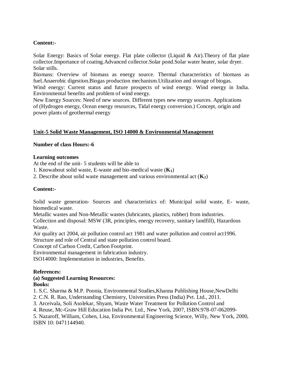# **Content:-**

Solar Energy: Basics of Solar energy. Flat plate collector (Liquid & Air).Theory of flat plate collector.Importance of coating.Advanced collector.Solar pond.Solar water heater, solar dryer. Solar stills.

Biomass: Overview of biomass as energy source. Thermal characteristics of biomass as fuel.Anaerobic digestion.Biogas production mechanism.Utilization and storage of biogas.

Wind energy: Current status and future prospects of wind energy. Wind energy in India. Environmental benefits and problem of wind energy.

New Energy Sources: Need of new sources. Different types new energy sources. Applications of (Hydrogen energy, Ocean energy resources, Tidal energy conversion.) Concept, origin and power plants of geothermal energy

# **Unit-5 Solid Waste Management, ISO 14000 & Environmental Management**

### **Number of class Hours:-6**

### **Learning outcomes**

At the end of the unit- 5 students will be able to

- 1. Knowabout solid waste, E-waste and bio-medical waste (**K1**)
- 2. Describe about solid waste management and various environmental act (**K2**)

# **Content:-**

Solid waste generation- Sources and characteristics of: Municipal solid waste, E- waste, biomedical waste.

Metallic wastes and Non-Metallic wastes (lubricants, plastics, rubber) from industries.

Collection and disposal: MSW (3R, principles, energy recovery, sanitary landfill), Hazardous Waste.

Air quality act 2004, air pollution control act 1981 and water pollution and control act1996. Structure and role of Central and state pollution control board.

Concept of Carbon Credit, Carbon Footprint.

Environmental management in fabrication industry.

ISO14000: Implementation in industries, Benefits.

#### **References:**

#### **(a) Suggested Learning Resources: Books:**

1. S.C. Sharma & M.P. Poonia, Environmental Studies,Khanna Publishing House,NewDelhi

2. C.N. R. Rao, Understanding Chemistry, Universities Press (India) Pvt. Ltd., 2011.

3. Arceivala, Soli Asolekar, Shyam, Waste Water Treatment for Pollution Control and

4. Reuse, Mc-Graw Hill Education India Pvt. Ltd., New York, 2007, ISBN:978-07-062099-

5. Nazaroff, William, Cohen, Lisa, Environmental Engineering Science, Willy, New York, 2000, ISBN 10: 0471144940.